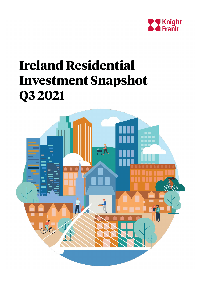

# **Ireland Residential Investment Snapshot Q3 2021**

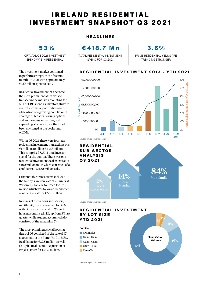## IRELAND RESIDENTIAL INVESTMENT SNAPSHOT Q3 2021

## **53%**

OF TOTAL Q3 2021 INVESTMENT SPEND WAS IN RESIDENTIAL

The investment market continued to perform strongly in the first nine months of 2021 with approximately €3.55 billion spent to date.

Residential investment has become the most prominent asset class to transact in the market accounting for 55% of CRE spend as investors strive to avail of income opportunities against a backdrop of a growing population, a shortage of broader housing options and an economy recovering and expanding at a faster pace than had been envisaged at the beginning of 2021.

Within Q3 2021, there were fourteen residential investment transactions over €1 million, totalling €418.7 million. This comprised 53% of total investor spend for the quarter. There was one residential investment deal in excess of €100 million in Q3 which consisted of a confidential, €110.0 million sale.

Other notable transactions included the sale by Kimpton Vale of 211 units at Windmill, Clonsilla to Urbeo for €73.0 million which was followed by another confidential sale for €63.6 million.

In terms of the various sub-sectors, multifamily deals accounted for 84% of the investment spend in Q3. Social housing comprised 14%, up from 3% last quarter while student accommodation consisted of the remaining 2%.

The most prominent social housing deals of Q3 consisted of the sale of 67 apartments at the Butter Yard to M&G Real Estate for €32.5 million as well as Alpha Real Estate's acquisition of Project Haven for €20.2 million.

#### **HEADLINES**

**€418.7 Mn**

TOTAL RESIDENTIAL INVESTMENT SPEND FOR Q3 2021

**3.6%**

PRIME RESIDENTIAL YIELDS ARE TRENDING STRONGER

## **RESIDENTIAL INVESTMENT 2013 - YTD 2021**





1.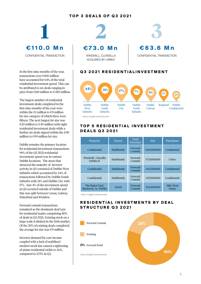## **TOP 3 DEALS OF Q3 2021**



In the first nine months of the year, transactions over €100 million have accounted for 64% of the total residential investment spend. This can be attributed to six deals ranging in price from €110 million to €450 million.

The largest number of residential investment deals completed in the first nine months of the year were within the €1 million to €9 million lot size category of which there were fifteen. The next largest lot size was €20 million to €49 million with eight residential investment deals while a further six deals signed within the  $€50$ million to €99 million lot size.

Dublin remains the primary location for residential investment transactions. 96% of the Q3 2021 residential investment spend was in various Dublin locations. The areas that attracted the majority of investor activity in Q3 consisted of Dublin West Suburbs which accounted for 44% of transactions followed by Dublin South Suburbs with 21% and Dublin City with 17%. Just 4% of the investment spend in Q3 occurred outside of Dublin and this was split between Cavan, Galway, Waterford and Wicklow.

Forward commit transactions remained as the dominant deal type for residential trades comprising 80% of deals in Q3 2021. Existing stock on a large scale is limited in the Irish market. Of the 20% of existing deals completed, the average lot size was €9 million.

Investor demand for core income coupled with a lack of stabilised modern stock has caused a tightening of prime residential yields to 3.6%,



ACQUIRED BY URBEO

CONFIDENTIAL TRANSACTION

## **Q3 2021 RESIDENTIALINVESTMENT**



Source: Knight Frank Research

#### **TOP 5 RESIDENTIAL INVESTMENT DEALS Q3 2021**

| Property                                  | Sector      | Deal<br><b>Structure</b> | $\epsilon$ m | Purchaser          |
|-------------------------------------------|-------------|--------------------------|--------------|--------------------|
| Confidential                              | Multifamily | Forward<br>Commit        | €110,000,000 | Confidential       |
| Windmill, Clonsilla<br>Dublin 15          | Multifamily | Forward<br>Commit        | €73,000,000  | Urbeo              |
| Confidential                              | Multifamily | Forward<br>Commit        | €63.550.000  | Confidential       |
| Confidential                              | Multifamily | Forward<br>Commit        | €57,000,000  | Confidential       |
| The Butter Yard.<br>Blackrock. Co. Dublin | Social      | Forward<br>Commit        | €32,460,000  | M&G Real<br>Estate |

Source: Knight Frank Research

## **RESIDENTIAL INVESTMENTS BY DEAL STRUCTURE Q3 2021**